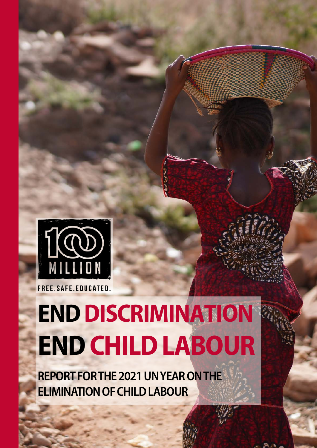

# **END DISCRIMINATION END CHILD LABOUR**

**REPORT FOR THE 2021 UN YEAR ON THE ELIMINATION OF CHILD LABOUR**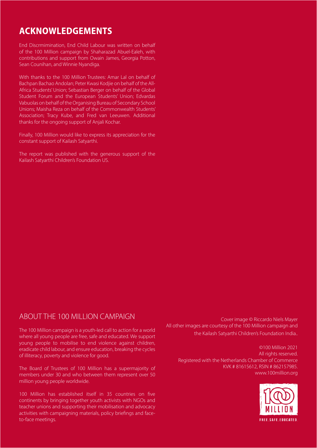#### **ACKNOWLEDGEMENTS**

End Discrmimination, End Child Labour was written on behalf of the 100 Million campaign by Shaharazad Abuel-Ealeh, with contributions and support from Owain James, Georgia Potton, Sean Counihan, and Winnie Nyandiga.

With thanks to the 100 Million Trustees: Amar Lal on behalf of Bachpan Bachao Andolan; Peter Kwasi Kodjie on behalf of the All-Africa Students' Union; Sebastian Berger on behalf of the Global Student Forum and the European Students' Union; Edvardas Vabuolas on behalf of the Organising Bureau of Secondary School Unions; Maisha Reza on behalf of the Commonwealth Students' Association; Tracy Kube, and Fred van Leeuwen. Additional thanks for the ongoing support of Anjali Kochar.

Finally, 100 Million would like to express its appreciation for the constant support of Kailash Satyarthi.

The report was published with the generous support of the Kailash Satyarthi Children's Foundation US.

#### ABOUT THE 100 MILLION CAMPAIGN

The 100 Million campaign is a youth-led call to action for a world where all young people are free, safe and educated. We support young people to mobilise to end violence against children, eradicate child labour, and ensure education, breaking the cycles of illiteracy, poverty and violence for good.

The Board of Trustees of 100 Million has a supermajority of members under 30 and who between them represent over 50 million young people worldwide.

100 Million has established itself in 35 countries on five continents by bringing together youth activists with NGOs and teacher unions and supporting their mobilisation and advocacy activities with campaigning materials, policy briefings and faceto-face meetings.

Cover image © Riccardo Niels Mayer All other images are courtesy of the 100 Million campaign and the Kailash Satyarthi Children's Foundation India..

©100 Million 2021 All rights reserved. Registered with the Netherlands Chamber of Commerce KVK # 81615612, RSIN # 862157985. www.100[million.org](http://million.org)

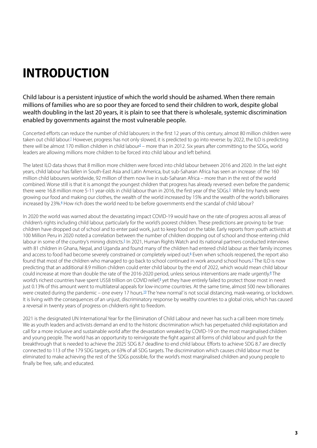## **INTRODUCTION**

Child labour is a persistent injustice of which the world should be ashamed. When there remain millions of families who are so poor they are forced to send their children to work, despite global wealth doubling in the last 20 years, it is plain to see that there is wholesale, systemic discrimination enabled by governments against the most vulnerable people.

Concerted efforts can reduce the number of child labourers: in the first 12 years of this century, almost 80 million children were taken out child labour.<sup>1</sup> However, progress has not only slowed, it is predicted to go into reverse: by 2022, the ILO is predicting there will be almost 170 million children in child labour<sup>2</sup> – more than in 2012. Six years after committing to the SDGs, world leaders are allowing millions more children to be forced into child labour and left behind.

The latest ILO data shows that 8 million more children were forced into child labour between 2016 and 2020. In the last eight years, child labour has fallen in South-East Asia and Latin America, but sub-Saharan Africa has seen an increase: of the 160 million child labourers worldwide, 92 million of them now live in sub-Saharan Africa – more than in the rest of the world combined. Worse still is that it is amongst the youngest children that progress has already reversed: even before the pandemic there were 16.8 million more 5-11 year-olds in child labour than in 2016, the first year of the SDGs.<sup>3</sup> While tiny hands were growing our food and making our clothes, the wealth of the world increased by 15% and the wealth of the world's billionaires increased by 23%.<sup>4</sup> How rich does the world need to be before governments end the scandal of child labour?

In 2020 the world was warned about the devastating impact COVID-19 would have on the rate of progress across all areas of children's rights including child labour, particularly for the world's poorest children. These predictions are proving to be true: children have dropped out of school and to enter paid work, just to keep food on the table. Early reports from youth activists at 100 Million Peru in 2020 noted a correlation between the number of children dropping out of school and those entering child labour in some of the country's mining districts.<sup>5</sup> In 2021, Human Rights Watch and its national partners conducted interviews with 81 children in Ghana, Nepal, and Uganda and found many of the children had entered child labour as their family incomes and access to food had become severely constrained or completely wiped out.<sup>6</sup> Even when schools reopened, the report also found that most of the children who managed to go back to school continued in work around school hours.<sup>7</sup> The ILO is now predicting that an additional 8.9 million children could enter child labour by the end of 2022, which would mean child labour could increase at more than double the rate of the 2016-2020 period, unless serious interventions are made urgently.<sup>8</sup> The world's richest countries have spent US\$8 trillion on COVID relief,<sup>9</sup> yet they have entirely failed to protect those most in need: just 0.13% of this amount went to multilateral appeals for low-income countries. At the same time, almost 500 new billionaires were created during the pandemic - one every 17 hours.<sup>10</sup> The 'new normal' is not social distancing, mask-wearing, or lockdown. It is living with the consequences of an unjust, discriminatory response by wealthy countries to a global crisis, which has caused a reversal in twenty years of progress on children's right to freedom.

2021 is the designated UN International Year for the Elimination of Child Labour and never has such a call been more timely. We as youth leaders and activists demand an end to the historic discrimination which has perpetuated child exploitation and call for a more inclusive and sustainable world after the devastation wreaked by COVID-19 on the most marginalised children and young people. The world has an opportunity to reinvigorate the fight against all forms of child labour and push for the breakthrough that is needed to achieve the 2025 SDG 8.7 deadline to end child labour. Efforts to achieve SDG 8.7 are directly connected to 113 of the 179 SDG targets, or 63% of all SDG targets. The discrimination which causes child labour must be eliminated to make achieving the rest of the SDGs possible, for the world's most marginalised children and young people to finally be free, safe, and educated.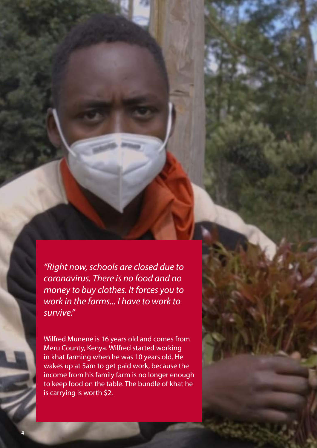*"Right now, schools are closed due to coronavirus. There is no food and no money to buy clothes. It forces you to work in the farms... I have to work to survive."*

Wilfred Munene is 16 years old and comes from Meru County, Kenya. Wilfred started working in khat farming when he was 10 years old. He wakes up at 5am to get paid work, because the income from his family farm is no longer enough to keep food on the table. The bundle of khat he is carrying is worth \$2.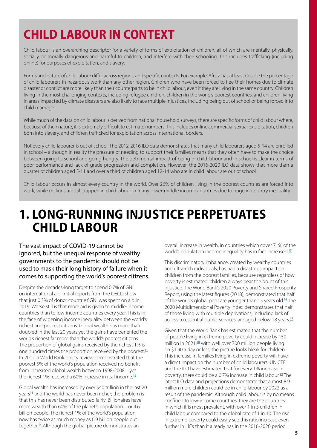## **CHILD LABOUR IN CONTEXT**

Child labour is an overarching descriptor for a variety of forms of exploitation of children, all of which are mentally, physically, socially, or morally dangerous and harmful to children, and interfere with their schooling. This includes trafficking (including online) for purposes of exploitation, and slavery.

Forms and nature of child labour differ across regions, and specific contexts. For example, Africa has at least double the percentage of child labourers in hazardous work than any other region. Children who have been forced to flee their homes due to climate disaster or conflict are more likely than their counterparts to be in child labour, even if they are living in the same country. Children living in the most challenging contexts, including refugee children, children in the world's poorest countries, and children living in areas impacted by climate disasters are also likely to face multiple injustices, including being out of school or being forced into child marriage.

While much of the data on child labour is derived from national household surveys, there are specific forms of child labour where, because of their nature, it is extremely difficult to estimate numbers. This includes online commercial sexual exploitation, children born into slavery, and children trafficked for exploitation across international borders.

Not every child labourer is out of school. The 2012-2016 ILO data demonstrates that many child labourers aged 5-14 are enrolled in school – although in reality the pressure of needing to support their families means that they often have to make the choice between going to school and going hungry. The detrimental impact of being in child labour and in school is clear in terms of poor performance and lack of grade progression and completion. However, the 2016-2020 ILO data shows that more than a quarter of children aged 5-11 and over a third of children aged 12-14 who are in child labour are out of school.

Child labour occurs in almost every country in the world. Over 26% of children living in the poorest countries are forced into work, while millions are still trapped in child labour in many lower-middle income countries due to huge in-country inequality.

### **1. LONG-RUNNING INJUSTICE PERPETUATES CHILD LABOUR**

The vast impact of COVID-19 cannot be ignored, but the unequal response of wealthy governments to the pandemic should not be used to mask their long history of failure when it comes to supporting the world's poorest citizens.

Despite the decades-long target to spend 0.7% of GNI on international aid, initial reports from the OECD show that just 0.3% of donor countries' GNI was spent on aid in 2019. Worse still is that more aid is given to middle-income countries than to low-income countries every year. This is in the face of widening income inequality between the world's richest and poorest citizens. Global wealth has more than doubled in the last 20 years yet the gains have benefited the world's richest far more than the world's poorest citizens. The proportion of global gains received by the richest 1% is one hundred times the proportion received by the poorest. $11$ In 2012, a World Bank policy review demonstrated that the poorest 5% of the world's population received no benefit from increased global wealth between 1998-2008 – yet the richest 1% received a 60% increase in real income.<sup>12</sup>

Global wealth has increased by over \$40 trillion in the last 20 years<sup>13</sup> and the world has never been richer; the problem is that this has never been distributed fairly. Billionaires have more wealth than 60% of the planet's population – or 4.6 billion people. The richest 1% of the world's population now has twice as much money as 6.9 billion people put together.<sup>14</sup> Although the global picture demonstrates an

overall increase in wealth, in countries which cover 71% of the world's population income inequality has in fact increased.<sup>15</sup>

This discriminatory imbalance, created by wealthy countries and ultra-rich individuals, has had a disastrous impact on children from the poorest families, because regardless of how poverty is estimated, children always bear the brunt of this injustice. The World Bank's 2020 Poverty and Shared Prosperity Report, using the latest figures (2018), demonstrated that half of the world's global poor are younger than 15 years old.<sup>16</sup> The 2020 Multidimensional Poverty Index demonstrates that half of those living with multiple deprivations, including lack of access to essential public services, are aged below 18 years.<sup>17</sup>

Given that the World Bank has estimated that the number of people living in extreme poverty could increase by 150 million in 2021,<sup>18</sup> with well over 700 million people living on \$1.90 a day or less, the picture looks bleak for children. This increase in families living in extreme poverty will have a direct impact on the number of child labourers: UNICEF and the ILO have estimated that for every 1% increase in poverty, there could be a 0.7% increase in child labour.<sup>19</sup> The latest ILO data and projections demonstrate that almost 8.9 million more children could be in child labour by 2022 as a result of the pandemic. Although child labour is by no means confined to low-income countries, they are the countries in which it is most prevalent, with over 1 in 5 children in child labour compared to the global rate of 1 in 10. The rise in extreme poverty could easily see this ratio increase even further in LICs than it already has in the 2016-2020 period.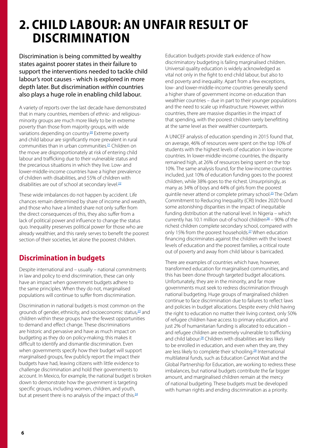## **2. CHILD LABOUR: AN UNFAIR RESULT OF DISCRIMINATION**

Discrimination is being committed by wealthy states against poorer states in their failure to support the interventions needed to tackle child labour's root causes - which is explored in more depth later. But discrimination *within* countries also plays a huge role in enabling child labour.

A variety of reports over the last decade have demonstrated that in many countries, members of ethnic- and religiousminority groups are much more likely to be in extreme poverty than those from majority groups, with wide variations depending on country.<sup>20</sup> Extreme poverty and child labour are significantly more prevalent in rural communities than in urban communities.<sup>21</sup> Children on the move are disproportionately at risk of entering child labour and trafficking due to their vulnerable status and the precarious situations in which they live. Low- and lower-middle-income countries have a higher prevalence of children with disabilities, and 55% of children with disabilities are out of school at secondary level  $22$ 

These wide imbalances do not happen by accident. Life chances remain determined by share of income and wealth, and those who have a limited share not only suffer from the direct consequences of this, they also suffer from a lack of political power and influence to change the status quo. Inequality preserves political power for those who are already wealthier, and this rarely serves to benefit the poorest section of their societies, let alone the poorest children.

#### **Discrimination in budgets**

Despite international and – usually – national commitments in law and policy to end discrimination, these can only have an impact when government budgets adhere to the same principles. When they do not, marginalised populations will continue to suffer from discrimination.

Discrimination in national budgets is most common on the grounds of gender, ethnicity, and socioeconomic status,<sup>23</sup> and children within these groups have the fewest opportunities to demand and effect change. These discriminations are historic and pervasive and have as much impact on budgeting as they do on policy-making; this makes it difficult to identify and dismantle discrimination. Even when governments specify how their budget will support marginalised groups, few publicly report the impact their budgets have had, leaving citizens with little evidence to challenge discrimination and hold their governments to account. In Mexico, for example, the national budget is broken down to demonstrate how the government is targeting specific groups, including women, children, and youth, but at present there is no analysis of the impact of this.<sup>24</sup>

Education budgets provide stark evidence of how discriminatory budgeting is failing marginalised children. Universal quality education is widely acknowledged as vital not only in the fight to end child labour, but also to end poverty and inequality. Apart from a few exceptions, low- and lower-middle-income countries generally spend a higher share of government income on education than wealthier countries – due in part to their younger populations and the need to scale up infrastructure. However, within countries, there are massive disparities in the impact of that spending, with the poorest children rarely benefitting at the same level as their wealthier counterparts.

A UNICEF analysis of education spending in 2015 found that, on average, 46% of resources were spent on the top 10% of students with the highest levels of education in low-income countries. In lower-middle-income countries, the disparity remained high, at 26% of resources being spent on the top 10%. The same analysis found, for the low-income countries included, just 10% of education funding goes to the poorest children, while 38% goes to the richest. Unsurprisingly, as many as 34% of boys and 44% of girls from the poorest quintile never attend or complete primary school.<sup>25</sup> The Oxfam Commitment to Reducing Inequality (CRI) Index 2020 found some astonishing disparities in the impact of inequitable funding distribution at the national level. In Nigeria – which currently has 10.1 million out-of-school children $26 - 90\%$  of the richest children complete secondary school, compared with only 15% from the poorest households.<sup>27</sup> When education financing discriminates against the children with the lowest levels of education and the poorest families, a critical route out of poverty and away from child labour is barricaded.

There are examples of countries which have, however, transformed education for marginalised communities, and this has been done through targeted budget allocations. Unfortunately, they are in the minority, and far more governments must seek to redress discrimination through national budgeting. Huge groups of marginalised children continue to face discrimination due to failures to reflect laws and policies in budget allocations. Despite every child having the right to education no matter their living context, only 50% of refugee children have access to primary education, and just 2% of humanitarian funding is allocated to education – and refugee children are extremely vulnerable to trafficking and child labour.<sup>28</sup> Children with disabilities are less likely to be enrolled in education, and even when they are, they are less likely to complete their schooling.<sup>29</sup> International multilateral funds, such as Education Cannot Wait and the Global Partnership for Education, are working to redress these imbalances, but national budgets contribute the far bigger amount, and marginalised children remain at the mercy of national budgeting. These budgets must be developed with human rights and ending discrimination as a priority.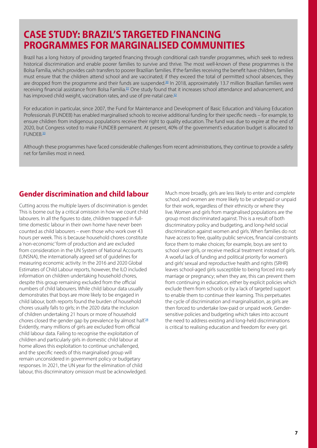#### **CASE STUDY: BRAZIL'S TARGETED FINANCING PROGRAMMES FOR MARGINALISED COMMUNITIES**

Brazil has a long history of providing targeted financing through conditional cash transfer programmes, which seek to redress historical discrimination and enable poorer families to survive and thrive. The most well-known of these programmes is the Bolsa Família, which provides cash transfers to poorer Brazilian families. If the families receiving the benefit have children, families must ensure that the children attend school and are vaccinated; if they exceed the total of permitted school absences, they are dropped from the programme and their funds are suspended.<sup>30</sup> In 2018, approximately 13.7 million Brazilian families were receiving financial assistance from Bolsa Familia.<sup>31</sup> One study found that it increases school attendance and advancement, and has improved child weight, vaccination rates, and use of pre-natal care.<sup>32</sup>

For education in particular, since 2007, the Fund for Maintenance and Development of Basic Education and Valuing Education Professionals (FUNDEB) has enabled marginalised schools to receive additional funding for their specific needs – for example, to ensure children from indigenous populations receive their right to quality education. The fund was due to expire at the end of 2020, but Congress voted to make FUNDEB permanent. At present, 40% of the government's education budget is allocated to FUNDEB<sub>.33</sub>

Although these programmes have faced considerable challenges from recent administrations, they continue to provide a safety net for families most in need.

#### **Gender discrimination and child labour**

Cutting across the multiple layers of discrimination is gender. This is borne out by a critical omission in how we count child labourers. In all the figures to date, children trapped in fulltime domestic labour in their own home have never been counted as child labourers – even those who work over 43 hours per week. This is because household chores constitute a 'non-economic' form of production and are excluded from consideration in the UN System of National Accounts (UNSNA), the internationally agreed set of guidelines for measuring economic activity. In the 2016 and 2020 Global Estimates of Child Labour reports, however, the ILO included information on children undertaking household chores, despite this group remaining excluded from the official numbers of child labourers. While child labour data usually demonstrates that boys are more likely to be engaged in child labour, both reports found the burden of household chores usually falls to girls; in the 2020 data the inclusion of children undertaking 21 hours or more of household chores closed the gender gap by prevalence by almost half. $34$ Evidently, many millions of girls are excluded from official child labour data. Failing to recognise the exploitation of children and particularly girls in domestic child labour at home allows this exploitation to continue unchallenged, and the specific needs of this marginalised group will remain unconsidered in government policy or budgetary responses. In 2021, the UN year for the elimination of child labour, this discriminatory omission must be acknowledged.

Much more broadly, girls are less likely to enter and complete school, and women are more likely to be underpaid or unpaid for their work, regardless of their ethnicity or where they live. Women and girls from marginalised populations are the group most discriminated against. This is a result of both discriminatory policy and budgeting, and long-held social discrimination against women and girls. When families do not have access to free, quality public services, financial constraints force them to make choices; for example, boys are sent to school over girls, or receive medical treatment instead of girls. A woeful lack of funding and political priority for women's and girls' sexual and reproductive health and rights (SRHR) leaves school-aged girls susceptible to being forced into early marriage or pregnancy; when they are, this can prevent them from continuing in education, either by explicit policies which exclude them from schools or by a lack of targeted support to enable them to continue their learning. This perpetuates the cycle of discrimination and marginalisation, as girls are then forced to undertake low-paid or unpaid work. Gendersensitive policies and budgeting which takes into account the need to address existing and long-held discriminations is critical to realising education and freedom for every girl.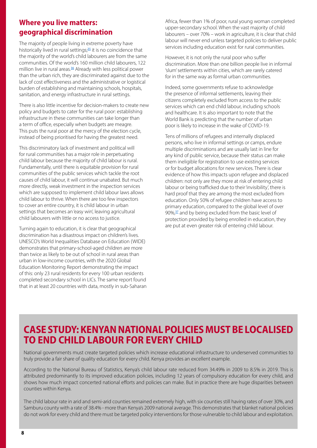#### **Where you live matters: geographical discrimination**

The majority of people living in extreme poverty have historically lived in rural settings;<sup>35</sup> it is no coincidence that the majority of the world's child labourers are from the same communities. Of the world's 160 million child labourers, 122 million live in rural areas.<sup>36</sup> Already with less political power than the urban rich, they are discriminated against due to the lack of cost effectiveness and the administrative or logistical burden of establishing and maintaining schools, hospitals, sanitation, and energy infrastructure in rural settings.

There is also little incentive for decision-makers to create new policy and budgets to cater for the rural poor: establishing infrastructure in these communities can take longer than a term of office, especially when budgets are meagre. This puts the rural poor at the mercy of the election cycle, instead of being prioritised for having the greatest need.

This discriminatory lack of investment and political will for rural communities has a major role in perpetuating child labour because the majority of child labour is rural. Fundamentally, until there is equitable provision for rural communities of the public services which tackle the root causes of child labour, it will continue unabated. But much more directly, weak investment in the inspection services which are supposed to implement child labour laws allows child labour to thrive. When there are too few inspectors to cover an entire country, it is child labour in urban settings that becomes an 'easy win', leaving agricultural child labourers with little or no access to justice.

Turning again to education, it is clear that geographical discrimination has a disastrous impact on children's lives. UNESCO's World Inequalities Database on Education (WIDE) demonstrates that primary-school-aged children are more than twice as likely to be out of school in rural areas than urban in low-income countries, with the 2020 Global Education Monitoring Report demonstrating the impact of this: only 23 rural residents for every 100 urban residents completed secondary school in LICs. The same report found that in at least 20 countries with data, mostly in sub-Saharan Africa, fewer than 1% of poor, rural young woman completed upper-secondary school. When the vast majority of child labourers – over 70% – work in agriculture, it is clear that child labour will never end unless targeted policies to deliver public services including education exist for rural communities.

However, it is not only the rural poor who suffer discrimination. More than one billion people live in informal 'slum' settlements within cities, which are rarely catered for in the same way as formal urban communities.

Indeed, some governments refuse to acknowledge the presence of informal settlements, leaving their citizens completely excluded from access to the public services which can end child labour, including schools and healthcare. It is also important to note that the World Bank is predicting that the number of urban poor is likely to increase in the wake of COVID-19.

Tens of millions of refugees and internally displaced persons, who live in informal settings or camps, endure multiple discriminations and are usually last in line for any kind of public service, because their status can make them ineligible for registration to use existing services or for budget allocations for new services. There is clear evidence of how this impacts upon refugee and displaced children: not only are they more at risk of entering child labour or being trafficked due to their 'invisibility', there is hard proof that they are among the most excluded from education. Only 50% of refugee children have access to primary education, compared to the global level of over 90%,<sup>37</sup> and by being excluded from the basic level of protection provided by being enrolled in education, they are put at even greater risk of entering child labour.

#### **CASE STUDY: KENYAN NATIONAL POLICIES MUST BE LOCALISED TO END CHILD LABOUR FOR EVERY CHILD**

National governments must create targeted policies which increase educational infrastructure to underserved communities to truly provide a fair share of quality education for every child. Kenya provides an excellent example.

According to the National Bureau of Statistics, Kenya's child labour rate reduced from 34.49% in 2009 to 8.5% in 2019. This is attributed predominantly to its improved education policies, including 12 years of compulsory education for every child, and shows how much impact concerted national efforts and policies can make. But in practice there are huge disparities between counties within Kenya.

The child labour rate in arid and semi-arid counties remained extremely high, with six counties still having rates of over 30%, and Samburu county with a rate of 38.4% - more than Kenya's 2009 national average. This demonstrates that blanket national policies do not work for every child and there must be targeted policy interventions for those vulnerable to child labour and exploitation.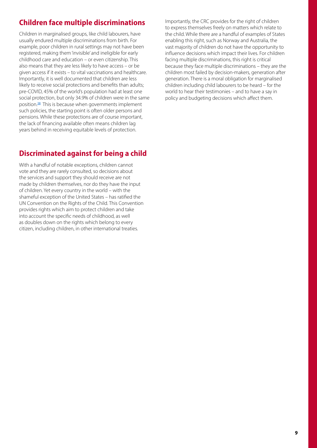#### **Children face multiple discriminations**

Children in marginalised groups, like child labourers, have usually endured multiple discriminations from birth. For example, poor children in rural settings may not have been registered, making them 'invisible' and ineligible for early childhood care and education – or even citizenship. This also means that they are less likely to have access – or be given access if it exists – to vital vaccinations and healthcare. Importantly, it is well documented that children are less likely to receive social protections and benefits than adults; pre-COVID, 45% of the world's population had at least one social protection, but only 34.9% of children were in the same position.<sup>38</sup> This is because when governments implement such policies, the starting point is often older persons and pensions. While these protections are of course important, the lack of financing available often means children lag years behind in receiving equitable levels of protection.

#### **Discriminated against for being a child**

With a handful of notable exceptions, children cannot vote and they are rarely consulted, so decisions about the services and support they should receive are not made by children themselves, nor do they have the input of children. Yet every country in the world – with the shameful exception of the United States – has ratified the UN Convention on the Rights of the Child. This Convention provides rights which aim to protect children and take into account the specific needs of childhood, as well as doubles down on the rights which belong to every citizen, including children, in other international treaties.

Importantly, the CRC provides for the right of children to express themselves freely on matters which relate to the child. While there are a handful of examples of States enabling this right, such as Norway and Australia, the vast majority of children do not have the opportunity to influence decisions which impact their lives. For children facing multiple discriminations, this right is critical because they face multiple discriminations – they are the children most failed by decision-makers, generation after generation. There is a moral obligation for marginalised children including child labourers to be heard – for the world to hear their testimonies – and to have a say in policy and budgeting decisions which affect them.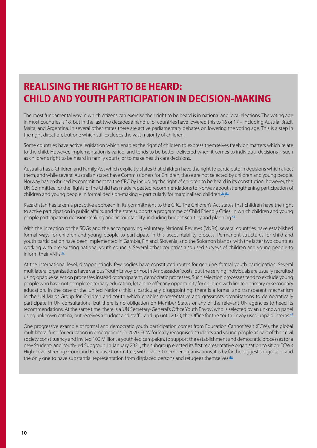#### **REALISING THE RIGHT TO BE HEARD: CHILD AND YOUTH PARTICIPATION IN DECISION-MAKING**

The most fundamental way in which citizens can exercise their right to be heard is in national and local elections. The voting age in most countries is 18, but in the last two decades a handful of countries have lowered this to 16 or 17 – including Austria, Brazil, Malta, and Argentina. In several other states there are active parliamentary debates on lowering the voting age. This is a step in the right direction, but one which still excludes the vast majority of children.

Some countries have active legislation which enables the right of children to express themselves freely on matters which relate to the child. However, implementation is varied, and tends to be better-delivered when it comes to individual decisions – such as children's right to be heard in family courts, or to make health care decisions.

Australia has a Children and Family Act which explicitly states that children have the right to participate in decisions which affect them, and while several Australian states have Commissioners for Children, these are not selected by children and young people. Norway has enshrined its commitment to the CRC by including the right of children to be heard in its constitution; however, the UN Committee for the Rights of the Child has made repeated recommendations to Norway about strengthening participation of children and young people in formal decision-making – particularly for marginalised children.<sup>39</sup>,<sup>40</sup>

Kazakhstan has taken a proactive approach in its commitment to the CRC. The Children's Act states that children have the right to active participation in public affairs, and the state supports a programme of Child Friendly Cities, in which children and young people participate in decision-making and accountability, including budget scrutiny and planning.<sup>41</sup>

With the inception of the SDGs and the accompanying Voluntary National Reviews (VNRs), several countries have established formal ways for children and young people to participate in this accountability process. Permanent structures for child and youth participation have been implemented in Gambia, Finland, Slovenia, and the Solomon Islands, with the latter two countries working with pre-existing national youth councils. Several other countries also used surveys of children and young people to inform their VNRs $42$ 

At the international level, disappointingly few bodies have constituted routes for genuine, formal youth participation. Several multilateral organisations have various 'Youth Envoy' or 'Youth Ambassador' posts, but the serving individuals are usually recruited using opaque selection processes instead of transparent, democratic processes. Such selection processes tend to exclude young people who have not completed tertiary education, let alone offer any opportunity for children with limited primary or secondary education. In the case of the United Nations, this is particularly disappointing: there is a formal and transparent mechanism in the UN Major Group for Children and Youth which enables representative and grassroots organisations to democratically participate in UN consultations, but there is no obligation on Member States or any of the relevant UN agencies to heed its recommendations. At the same time, there is a 'UN Secretary-General's Office Youth Envoy', who is selected by an unknown panel using unknown criteria, but receives a budget and staff – and up until 2020, the Office for the Youth Envoy used unpaid interns.<sup>43</sup>

One progressive example of formal and democratic youth participation comes from Education Cannot Wait (ECW), the global multilateral fund for education in emergencies. In 2020, ECW formally recognised students and young people as part of their civil society constituency and invited 100 Million, a youth-led campaign, to support the establishment and democratic processes for a new Student- and Youth-led Subgroup. In January 2021, the subgroup elected its first representative organisation to sit on ECW's High-Level Steering Group and Executive Committee; with over 70 member organisations, it is by far the biggest subgroup – and the only one to have substantial representation from displaced persons and refugees themselves.<sup>44</sup>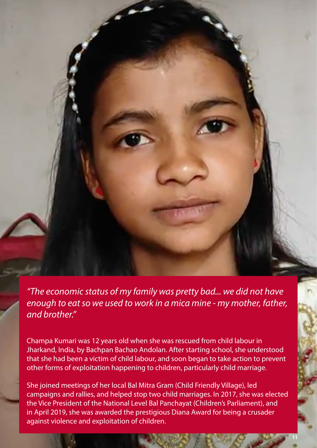*"The economic status of my family was pretty bad... we did not have enough to eat so we used to work in a mica mine - my mother, father, and brother."*

Champa Kumari was 12 years old when she was rescued from child labour in Jharkand, India, by Bachpan Bachao Andolan. After starting school, she understood that she had been a victim of child labour, and soon began to take action to prevent other forms of exploitation happening to children, particularly child marriage.

She joined meetings of her local Bal Mitra Gram (Child Friendly Village), led campaigns and rallies, and helped stop two child marriages. In 2017, she was elected the Vice President of the National Level Bal Panchayat (Children's Parliament), and in April 2019, she was awarded the prestigious Diana Award for being a crusader against violence and exploitation of children.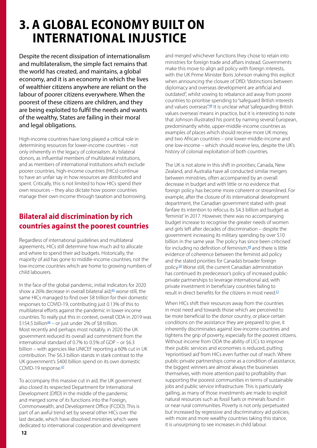## **3. A GLOBAL ECONOMY BUILT ON INTERNATIONAL INJUSTICE**

Despite the recent dissipation of internationalism and multilateralism, the simple fact remains that the world has created, and maintains, a global economy, and it is an economy in which the lives of wealthier citizens anywhere are reliant on the labour of poorer citizens everywhere. When the poorest of these citizens are children, and they are being exploited to fulfil the needs and wants of the wealthy, States are failing in their moral and legal obligations.

High-income countries have long played a critical role in determining resources for lower-income countries – not only inherently in the legacy of colonialism. As bilateral donors, as influential members of multilateral institutions, and as members of international institutions which exclude poorer countries, high-income countries (HICs) continue to have an unfair say in how resources are distributed and spent. Critically, this is not limited to how HICs spend their own resources – they also dictate how poorer countries manage their own income through taxation and borrowing.

#### **Bilateral aid discrimination by rich countries against the poorest countries**

Regardless of international guidelines and multilateral agreements, HICs still determine how much aid to allocate and where to spend their aid budgets. Historically, the majority of aid has gone to middle-income countries, not the low-income countries which are home to growing numbers of child labourers.

In the face of the global pandemic, initial indicators for 2020 show a 26% decrease in overall bilateral aid;<sup>45</sup> worse still, the same HICs managed to find over \$8 trillion for their domestic responses to COVID-19, contributing just 0.13% of this to multilateral efforts against the pandemic in lower-income countries. To really put this in context, overall ODA in 2019 was \$154.5 billion $46 -$  or just under 2% of \$8 trillion. Most recently and perhaps most notably, in 2020 the UK government reduced its overall aid commitment from the international standard of 0.7% to 0.5% of GDP – or \$6.3 billion – with agencies like UNICEF reporting a 60% cut in UK contribution. The \$6.3 billion stands in stark contrast to the UK government's \$400 billion spend on its own domestic COVID-19 response.<sup>47</sup>

To accompany this massive cut in aid, the UK government also closed its respected Department for International Development (DfID) in the middle of the pandemic and merged some of its functions into the Foreign, Commonwealth, and Development Office (FCDO). This is part of an awful trend set by several other HICs over the last decade, which have dissolved ministries which were dedicated to international cooperation and development

and merged whichever functions they chose to retain into ministries for foreign trade and affairs instead. Governments make this move to align aid policy with foreign interests, with the UK Prime Minister Boris Johnson making this explicit when announcing the closure of DfID: "distinctions between diplomacy and overseas development are artificial and outdated", whilst vowing to rebalance aid away from poorer countries to prioritise spending to "safeguard British interests and values overseas".<sup>48</sup> It is unclear what 'safeguarding British values overseas' means in practice, but it is interesting to note that Johnson illustrated his point by naming several European, predominantly white, upper-middle-income countries as examples of places which should receive more UK money, and two African countries – one lower-middle-income and one low-income – which should receive less, despite the UK's history of colonial exploitation of both countries.

The UK is not alone in this shift in priorities; Canada, New Zealand, and Australia have all conducted similar mergers between ministries, often accompanied by an overall decrease in budget and with little or no evidence that foreign policy has become more coherent or streamlined. For example, after the closure of its international development department, the Canadian government stated with great fanfare its intention to refocus its \$4.3 billion aid budget as 'feminist' in 2017. However, there was no accompanying budget increase to recognise the greater needs of women and girls left after decades of discrimination – despite the government increasing its military spending by over \$10 billion in the same year. The policy has since been criticised for including no definition of feminism, $49$  and there is little evidence of coherence between the feminist aid policy and the stated priorities for Canada's broader foreign policy.<sup>50</sup> Worse still, the current Canadian administration has continued its predecessor's policy of increased publicprivate partnerships to leverage international aid, with private investment in beneficiary countries failing to result in direct benefits for the citizens in most need.<sup>51</sup>

When HICs shift their resources away from the countries in most need and towards those which are perceived to be more beneficial to the donor country, or place certain conditions on the assistance they are prepared to give, it inherently discriminates against low-income countries and tightens the grip of poverty, especially for the poorest citizens. Without income from ODA the ability of LICs to improve their public services and economies is reduced, putting 'reprioritised aid' from HICs even further out of reach. Where public-private partnerships come as a condition of assistance, the biggest winners are almost always the businesses themselves, with more attention paid to profitability than supporting the poorest communities in terms of sustainable jobs and public service infrastructure. This is particularly galling, as many of those investments are made to exploit natural resources such as fossil fuels or minerals found in or near rural communities. Poverty is not only perpetuated but increased by regressive and discriminatory aid policies; with more and more wealthy countries taking this stance, it is unsurprising to see increases in child labour.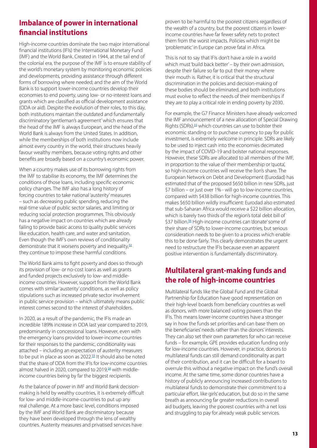#### **Imbalance of power in international financial institutions**

High-income countries dominate the two major international financial institutions (IFIs) the International Monetary Fund (IMF) and the World Bank. Created in 1944, at the tail end of the colonial era, the purpose of the IMF is to ensure stability of the world's monetary system by monitoring economic policies and developments, providing assistance through different forms of borrowing where needed; and the aim of the World Bank is to support lower-income countries develop their economies to end poverty, using low- or no-interest loans and grants which are classified as official development assistance (ODA or aid). Despite the evolution of their roles, to this day, both institutions maintain the outdated and fundamentally discriminatory 'gentleman's agreement' which ensures that the head of the IMF is always European, and the head of the World Bank is always from the United States. In addition, while the memberships of both institutions now include almost every country in the world, their structures heavily favour wealthy members, because voting rights and other benefits are broadly based on a country's economic power.

When a country makes use of its borrowing rights from the IMF to stabilise its economy, the IMF determines the conditions of those loans, including specific economic policy changes. The IMF also has a long history of forcing countries to take national 'austerity' measures – such as decreasing public spending, reducing the real-time value of public sector salaries, and limiting or reducing social protection programmes. This obviously has a negative impact on countries which are already failing to provide basic access to quality public services like education, health care, and water and sanitation. Even though the IMF's own reviews of conditionality demonstrate that it worsens poverty and inequality, $52$ they continue to impose these harmful conditions.

The World Bank aims to fight poverty and does so through its provision of low- or no-cost loans as well as grants and funded projects exclusively to low- and middleincome countries. However, support from the World Bank comes with similar 'austerity' conditions, as well as policy stipulations such as increased private sector involvement in public service provision – which ultimately means public interest comes second to the interest of shareholders.

In 2020, as a result of the pandemic, the IFIs made an incredible 189% increase in ODA last year compared to 2019, predominantly in concessional loans. However, even with the emergency loans provided to lower-income countries for their responses to the pandemic, conditionality was attached – including an expectation of austerity measures to be put in place as soon as  $2022$ .<sup>53</sup> It should also be noted that the share of ODA from the IFIs for low-income countries almost halved in 2020, compared to  $2019<sub>1</sub><sup>54</sup>$  with middleincome countries being by far the biggest recipients.

As the balance of power in IMF and World Bank decisionmaking is held by wealthy countries, it is extremely difficult for low- and middle-income-countries to put up any real challenge. At a more basic level, conditions imposed by the IMF and World Bank are discriminatory because they have been developed through the lens of wealthy countries. Austerity measures and privatised services have

proven to be harmful to the poorest citizens regardless of the wealth of a country, but the poorest citizens in lowerincome countries have far fewer safety nets to protect them from the worst impacts. Policies which might be 'problematic' in Europe can prove fatal in Africa.

This is not to say that IFIs don't have a role in a world which must 'build back better' – by their own admission, despite their failure so far to put their money where their mouth is. Rather, it is critical that the structural discrimination in the policies and decision-making of these bodies should be eliminated, and both institutions must evolve to reflect the needs of their memberships if they are to play a critical role in ending poverty by 2030.

For example, the G7 Finance Ministers have already welcomed the IMF announcement of a new allocation of Special Drawing Rights (SDRs),<sup>55</sup> which countries can use to bolster their economic standing or to purchase currency to pay for public investment, is extremely welcome in principle. SDRs are likely to be used to inject cash into the economies decimated by the impact of COVID-19 and bolster national responses. However, these SDRs are allocated to all members of the IMF, in proportion to the value of their membership or 'quota', so high-income countries will receive the lion's share. The European Network on Debt and Development (Eurodad) has estimated that of the proposed \$650 billion in new SDRs, just \$7 billion – or just over 1% - will go to low-income countries, compared with \$438 billion for high-income countries. This makes \$650 billion wildly insufficient: Eurodad also estimated that sub-Saharan Africa would receive a \$22 billion allocation, which is barely two thirds of the region's total debt bill of \$37 billion.<sup>56</sup> High-income countries can 'donate' some of their share of SDRs to lower-income countries, but serious consideration needs to be given to a process which enable this to be done fairly. This clearly demonstrates the urgent need to restructure the IFIs because even an apparent positive intervention is fundamentally discriminatory.

#### **Multilateral grant-making funds and the role of high-income countries**

Multilateral funds like the Global Fund and the Global Partnership for Education have good representation on their high-level boards from beneficiary countries as well as donors, with more balanced voting powers than the IFIs. This means lower-income countries have a stronger say in how the funds set priorities and can base them on the beneficiaries' needs rather than the donors' interests. They can also set their own parameters for who can receive funds – for example, GPE provides education funding only for low-income countries. However, in practice, donors to multilateral funds can still demand conditionality as part of their contribution, and it can be difficult for a board to overrule this without a negative impact on the fund's overall income. At the same time, some donor countries have a history of publicly announcing increased contributions to multilateral funds to demonstrate their commitment to a particular effort, like girls' education, but do so in the same breath as announcing far greater reductions in overall aid budgets, leaving the poorest countries with a net loss and struggling to pay for already weak public services.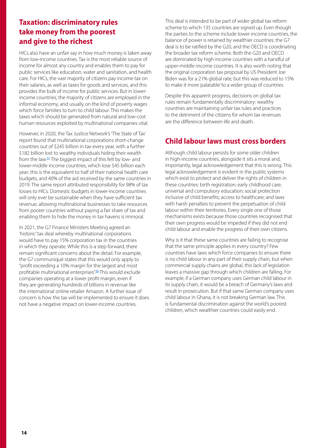#### **Taxation: discriminatory rules take money from the poorest and give to the richest**

HICs also have an unfair say in how much money is taken away from low-income countries. Tax is the most reliable source of income for almost any country and enables them to pay for public services like education, water and sanitation, and health care. For HICs, the vast majority of citizens pay income tax on their salaries, as well as taxes for goods and services, and this provides the bulk of income for public services. But in lowerincome countries, the majority of citizens are employed in the informal economy, and usually on the kind of poverty wages which force families to turn to child labour. This makes the taxes which should be generated from natural and low-cost human resources exploited by multinational companies vital.

However, in 2020, the Tax Justice Network's 'The State of Tax' report found that multinational corporations short-change countries out of \$245 billion in tax every year, with a further \$182 billion lost to wealthy individuals hiding their wealth from the law.<sup>57</sup> The biggest impact of this felt by low- and lower-middle income countries, which lose \$45 billion each year; this is the equivalent to half of their national health care budgets, and 40% of the aid received by the same countries in 2019. The same report attributed responsibility for 98% of tax losses to HICs. Domestic budgets in lower-income countries will only ever be sustainable when they have sufficient tax revenue; allowing multinational businesses to take resources from poorer countries without paying a fair share of tax and enabling them to hide the money in tax havens is immoral.

In 2021, the G7 Finance Ministers Meeting agreed an 'historic' tax deal whereby multinational corporations would have to pay 15% corporation tax in the countries in which they operate. While this is a step forward, there remain significant concerns about the detail. For example, the G7 communiqué states that this would only apply to "profit exceeding a 10% margin for the largest and most profitable multinational enterprises".<sup>58</sup> This would exclude companies operating at a lower profit margin, even if they are generating hundreds of billions in revenue like the international online retailer Amazon. A further issue of concern is how the tax will be implemented to ensure it does not have a negative impact on lower-income countries.

This deal is intended to be part of wider global tax reform scheme to which 135 countries are signed up. Even though the parties to the scheme include lower-income countries, the balance of power is retained by wealthier countries: the G7 deal is to be ratified by the G20, and the OECD is coordinating the broader tax reform scheme. Both the G20 and OECD are dominated by high-income countries with a handful of upper-middle-income countries. It is also worth noting that the original corporation tax proposal by US President Joe Biden was for a 21% global rate, but this was reduced to 15% to make it more 'palatable' to a wider group of countries.

Despite this apparent progress, decisions on global tax rules remain fundamentally discriminatory: wealthy countries are maintaining unfair tax rules and practices to the detriment of the citizens for whom tax revenues are the difference between life and death.

#### **Child labour laws must cross borders**

Although child labour persists for some older children in high-income countries, alongside it sits a moral and, importantly, legal acknowledgement that this is wrong. This legal acknowledgement is evident in the public systems which exist to protect and deliver the rights of children in these countries: birth registration; early childhood care; universal and compulsory education; social protection inclusive of child benefits; access to healthcare; and laws with harsh penalties to prevent the perpetuation of child labour within their territories. Every single one of those mechanisms exists because those countries recognised that their own progress would be impeded if they did not end child labour and enable the progress of their own citizens.

Why is it that these same countries are failing to recognise that the same principle applies in every country? Few countries have laws which force companies to ensure there is no child labour in any part of their supply chain, but when commercial supply chains are global, this lack of legislation leaves a massive gap through which children are falling. For example, if a German company uses German child labour in its supply chain, it would be a breach of Germany's laws and result in prosecution. But if that same German company uses child labour in Ghana, it is not breaking German law. This is fundamental discrimination against the world's poorest children, which wealthier countries could easily end.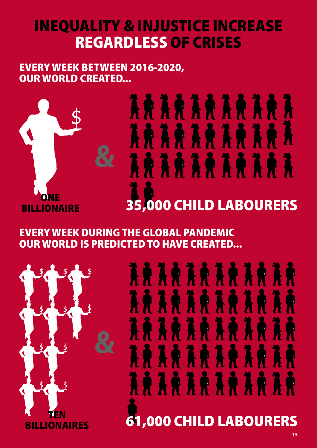## INEQUALITY & INJUSTICE INCREASE REGARDLESS OF CRISES

#### EVERY WEEK BETWEEN 2016-2020, OUR WORLD CREATED...

**&**



## A A A A A A A A A A A A A A A A A A A A 35,000 CHILD LABOURERS

EVERY WEEK DURING THE GLOBAL PANDEMIC OUR WORLD IS PREDICTED TO HAVE CREATED...



## 61,000 CHILD LABOURERS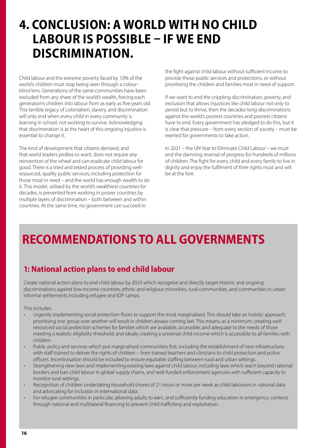### **4. CONCLUSION: A WORLD WITH NO CHILD LABOUR IS POSSIBLE – IF WE END DISCRIMINATION.**

Child labour and the extreme poverty faced by 10% of the world's children must stop being seen through a colourblind lens. Generations of the same communities have been excluded from any share of the world's wealth, forcing each generation's children into labour from as early as five years old. This terrible legacy of colonialism, slavery, and discrimination will only end when every child in every community is learning in school, not working to survive. Acknowledging that discrimination is at the heart of this ongoing injustice is essential to change it.

The kind of development that citizens demand, and that world leaders profess to want, does not require any reinvention of the wheel and can eradicate child labour for good. There is a tried and tested process of providing wellresourced, quality public services, including protection for those most in need – and the world has enough wealth to do it. This model, utilised by the world's wealthiest countries for decades, is prevented from working in poorer countries by multiple layers of discrimination – both between and within countries. At the same time, no government can succeed in

the fight against child labour without sufficient income to provide those public services and protections, or without prioritising the children and families most in need of support.

If we want to end the crippling discrimination, poverty, and exclusion that allows injustices like child labour not only to persist but to thrive, then the decades-long discriminations against the world's poorest countries and poorest citizens have to end. Every government has pledged to do this, but it is clear that pressure – from every section of society – must be exerted for governments to take action.

In 2021 – the UN Year to Eliminate Child Labour – we must end the damning reversal of progress for hundreds of millions of children. The fight for every child and every family to live in dignity and enjoy the fulfilment of their rights must and will be at the fore.

## **RECOMMENDATIONS TO ALL GOVERNMENTS**

#### **1: National action plans to end child labour**

Create national action plans to end child labour by 2025 which recognise and directly target historic and ongoing discriminations against low-income countries, ethnic and religious minorities, rural communities, and communities in urban informal settlements including refugee and IDP camps.

This includes:

- Urgently implementing social protection floors to support the most marginalised. This should take an holistic approach; prioritising one group over another will result in children always coming last. This means, as a minimum, creating wellresourced social protection schemes for families which are available, accessible, and adequate to the needs of those meeting a realistic eligibility threshold; and ideally creating a universal child income which is accessible to all families with children.
- Public policy and services which put marginalised communities first, including the establishment of new infrastructure, with staff trained to deliver the rights of children – from trained teachers and clinicians to child protection and police officers. Incentivisation should be included to ensure equitable staffing between rural and urban settings.
- Strengthening new laws and implementing existing laws against child labour, including laws which reach beyond national borders and ban child labour in global supply chains, and well-funded enforcement agencies with sufficient capacity to monitor rural settings.
- Recognition of children undertaking household chores of 21 hours or more per week as child labourers in national data and advocating for inclusion in international data.
- For refugee communities in particular, allowing adults to earn, and sufficiently funding education in emergency contexts through national and multilateral financing to prevent child trafficking and exploitation.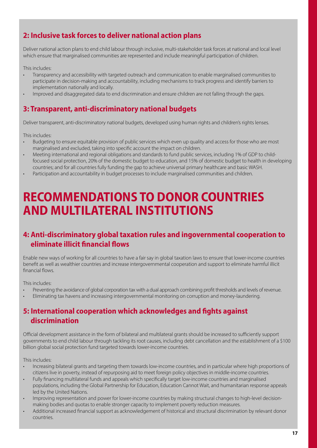#### **2: Inclusive task forces to deliver national action plans**

Deliver national action plans to end child labour through inclusive, multi-stakeholder task forces at national and local level which ensure that marginalised communities are represented and include meaningful participation of children.

This includes:

- Transparency and accessibility with targeted outreach and communication to enable marginalised communities to participate in decision-making and accountability, including mechanisms to track progress and identify barriers to implementation nationally and locally.
- Improved and disaggregated data to end discrimination and ensure children are not falling through the gaps.

#### **3: Transparent, anti-discriminatory national budgets**

Deliver transparent, anti-discriminatory national budgets, developed using human rights and children's rights lenses.

This includes:

- Budgeting to ensure equitable provision of public services which even up quality and access for those who are most marginalised and excluded, taking into specific account the impact on children.
- Meeting international and regional obligations and standards to fund public services, including 1% of GDP to childfocused social protection, 20% of the domestic budget to education, and 15% of domestic budget to health in developing countries; and for all countries fully funding the gap to achieve universal primary healthcare and basic WASH.
- Participation and accountability in budget processes to include marginalised communities and children.

### **RECOMMENDATIONS TO DONOR COUNTRIES AND MULTILATERAL INSTITUTIONS**

#### **4: Anti-discriminatory global taxation rules and ingovernmental cooperation to eliminate illicit financial flows**

Enable new ways of working for all countries to have a fair say in global taxation laws to ensure that lower-income countries benefit as well as wealthier countries and increase intergovernmental cooperation and support to eliminate harmful illicit financial flows.

This includes:

- Preventing the avoidance of global corporation tax with a dual approach combining profit thresholds and levels of revenue.
- Eliminating tax havens and increasing intergovernmental monitoring on corruption and money-laundering.

#### **5: International cooperation which acknowledges and fights against discrimination**

Official development assistance in the form of bilateral and multilateral grants should be increased to sufficiently support governments to end child labour through tackling its root causes, including debt cancellation and the establishment of a \$100 billion global social protection fund targeted towards lower-income countries.

This includes:

- Increasing bilateral grants and targeting them towards low-income countries, and in particular where high proportions of citizens live in poverty, instead of repurposing aid to meet foreign policy objectives in middle-income countries.
- Fully financing multilateral funds and appeals which specifically target low-income countries and marginalised populations, including the Global Partnership for Education, Education Cannot Wait, and humanitarian response appeals led by the United Nations.
- Improving representation and power for lower-income countries by making structural changes to high-level decisionmaking bodies and quotas to enable stronger capacity to implement poverty reduction measures.
- Additional increased financial support as acknowledgement of historical and structural discrimination by relevant donor countries.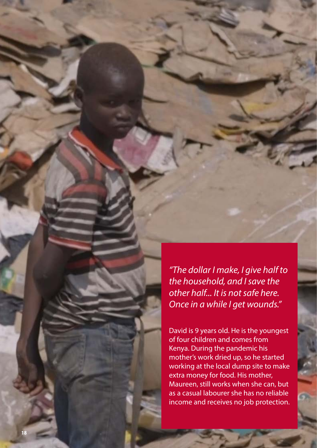*"The dollar I make, I give half to the household, and I save the other half... It is not safe here. Once in a while I get wounds."*

David is 9 years old. He is the youngest of four children and comes from Kenya. During the pandemic his mother's work dried up, so he started working at the local dump site to make extra money for food. His mother, Maureen, still works when she can, but as a casual labourer she has no reliable income and receives no job protection.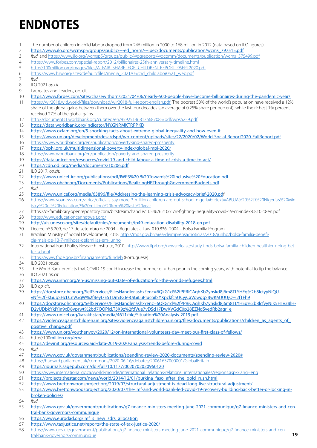## **ENDNOTES**

- The number of children in child labour dropped from 246 million in 2000 to 168 million in 2012 (data based on ILO figures).
- [https://www.ilo.org/wcmsp5/groups/public/---ed\\_norm/---ipec/documents/publication/wcms\\_797515.pdf](https://www.ilo.org/wcmsp5/groups/public/---ed_norm/---ipec/documents/publication/wcms_797515.pdf)
- *Ibid.* and [https://www.ilo.org/wcmsp5/groups/public/@dgreports/@dcomm/documents/publication/wcms\\_575499.pdf](https://www.ilo.org/wcmsp5/groups/public/@dgreports/@dcomm/documents/publication/wcms_575499.pdf)
- <https://www.forbes.com/special-report/2012/billionaires-25th-anniversary-timeline.html><br>5 http://100million.org/images/files/A FAIR SHARE FOR CHILDREN REPORT 9SEPT2020.
- [http://100million.org/images/files/A\\_FAIR\\_SHARE\\_FOR\\_CHILDREN\\_REPORT\\_9SEPT2020.pdf](http://100million.org/images/files/A_FAIR_SHARE_FOR_CHILDREN_REPORT_9SEPT2020.pdf)
- [https://www.hrw.org/sites/default/files/media\\_2021/05/crd\\_childlabor0521\\_web.pdf](https://www.hrw.org/sites/default/files/media_2021/05/crd_childlabor0521_web.pdf)
- *Ibid.*
- ILO 2021 *op.cit*.
- Laureates and Leaders, op. cit.
- <https://www.forbes.com/sites/chasewithorn/2021/04/06/nearly-500-people-have-become-billionaires-during-the-pandemic-year/>
- <https://wir2018.wid.world/files/download/wir2018-full-report-english.pdf> The poorest 50% of the world's population have received a 12% share of the global gains between them over the last four decades (an average of 0.25% share per percent), while the richest 1% percent received 27% of the global gains.
- <http://documents1.worldbank.org/curated/en/959251468176687085/pdf/wps6259.pdf>
- <https://data.worldbank.org/indicator/NY.GNP.MKTP.PP.KD>
- <https://www.oxfam.org/en/5-shocking-facts-about-extreme-global-inequality-and-how-even-it>
- <https://www.un.org/development/desa/dspd/wp-content/uploads/sites/22/2020/02/World-Social-Report2020-FullReport.pdf>
- <https://www.worldbank.org/en/publication/poverty-and-shared-prosperity>
- <https://ophi.org.uk/multidimensional-poverty-index/global-mpi-2020>/
- <https://www.worldbank.org/en/publication/poverty-and-shared-prosperity>
- [https://data.unicef.org/resources/covid-19-and-child-labour-a-time-of-crisis-a-time-to-act/](https://data.unicef.org/resources/covid-19-and-child-labour-a-time-of-crisis-a-time-to-act/ )
- [https://cdn.odi.org/media/documents/10206.pdf](https://cdn.odi.org/media/documents/10206.pdf )
- ILO 2017, *op.cit.*
- <https://www.unicef-irc.org/publications/pdf/IWP3%20-%20Towards%20Inclusive%20Education.pdf>
- [https://www.ohchr.org/Documents/Publications/RealizingHRThroughGovernmentBudgets.pdf](https://www.ohchr.org/Documents/Publications/RealizingHRThroughGovernmentBudgets.pdf )
- *Ibid.*
- <https://www.unicef.org/media/63896/file/Addressing-the-learning-crisis-advocacy-brief-2020.pd>f
- https://www.voanews.com/africa/officials-say-more-3-million-children-are-out-school-nigeria#:~:text=ABUJA%20%2D%20Nigeria's%20Ministry%20of%20Education,3%20million%20from%20last%20year.
- <https://oxfamilibrary.openrepository.com/bitstream/handle/10546/621061/rr-fighting-inequality-covid-19-cri-index-081020-en.pdf>
- <https://www.educationcannotwait.org/>
- <http://uis.unesco.org/sites/default/files/documents/ip49-education-disability-2018-en.pdf>
- Decree nº 5.209, de 17 de setembro de 2004 Regulates a Law-010.836- 2004 Bolsa Família Program.
- Brazilian Ministry of Social Development, 2018. [http://mds.gov.br/area-deimprensa/noticias/2018/junho/bolsa-familia-benefi](http://mds.gov.br/area-deimprensa/noticias/2018/junho/bolsa-familia-beneficia-mais-de-13-7-milhoes-defamilias-em-junho)[cia-mais-de-13-7-milhoes-defamilias-em-junho](http://mds.gov.br/area-deimprensa/noticias/2018/junho/bolsa-familia-beneficia-mais-de-13-7-milhoes-defamilias-em-junho)
- International Food Policy Research Institute, 2010. [http://www.ifpri.org/newsrelease/study-finds-bolsa-familia-children-healthier-doing-bet](http://www.ifpri.org/newsrelease/study-finds-bolsa-familia-children-healthier-doing-better-school)[ter-school](http://www.ifpri.org/newsrelease/study-finds-bolsa-familia-children-healthier-doing-better-school)
- <https://www.fnde.gov.br/financiamento/fundeb>(Portuguese)
- ILO 2021 *op.cit.*
- The World Bank predicts that COVID-19 could increase the number of urban poor in the coming years, with potential to tip the balance.
- ILO 2021 *op.cit*
- <https://www.unhcr.org/en-us/missing-out-state-of-education-for-the-worlds-refugees.html>
- ILO *op. cit*.
- [https://docstore.ohchr.org/SelfServices/FilesHandler.ashx?enc=6QkG1d%2fPPRiCAqhKb7yhskd8j6m8TLYHEq%2b8lcfyyNiQU](https://docstore.ohchr.org/SelfServices/FilesHandler.ashx?enc=6QkG1d%2fPPRiCAqhKb7yhskd8j6m8TLYHEq%2b8lcfyyNiQUvNf%2fFkGuqSHcLCnVGgW%2fBeyI7ES1Dm3GJe8JiGiLuPIucoilSYXpckfc5UCyjCaVowggSBwKMJUUjO%2fTFh9)[vNf%2fFkGuqSHcLCnVGgW%2fBeyI7ES1Dm3GJe8JiGiLuPIucoilSYXpckfc5UCyjCaVowggSBwKMJUUjO%2fTFh9](https://docstore.ohchr.org/SelfServices/FilesHandler.ashx?enc=6QkG1d%2fPPRiCAqhKb7yhskd8j6m8TLYHEq%2b8lcfyyNiQUvNf%2fFkGuqSHcLCnVGgW%2fBeyI7ES1Dm3GJe8JiGiLuPIucoilSYXpckfc5UCyjCaVowggSBwKMJUUjO%2fTFh9)
- [https://docstore.ohchr.org/SelfServices/FilesHandler.ashx?enc=6QkG1d%2fPPRiCAqhKb7yhskd8j6m8TLYHEq%2b8lcfyyNiK5HTv3BlH-](https://docstore.ohchr.org/SelfServices/FilesHandler.ashx?enc=6QkG1d%2fPPRiCAqhKb7yhskd8j6m8TLYHEq%2b8lcfyyNiK5HTv3BlHD2yUDbkYkjYjn9xD8vprwt%2bd7OOPlcLT3X9z%2fdVue7vDSd17DwXVGdC0p28EZNdSyedRb2agr1e)[D2yUDbkYkjYjn9xD8vprwt%2bd7OOPlcLT3X9z%2fdVue7vDSd17DwXVGdC0p28EZNdSyedRb2agr1e](https://docstore.ohchr.org/SelfServices/FilesHandler.ashx?enc=6QkG1d%2fPPRiCAqhKb7yhskd8j6m8TLYHEq%2b8lcfyyNiK5HTv3BlHD2yUDbkYkjYjn9xD8vprwt%2bd7OOPlcLT3X9z%2fdVue7vDSd17DwXVGdC0p28EZNdSyedRb2agr1e)l
- <https://www.unicef.org/kazakhstan/media/4611/file/Situation%20Analysis-2019.pdf>
- 42 https://violenceagainstchildren.un.org/sites/violenceagainstchildren.un.org/files/documents/publications/children\_as\_agents\_of [positive\\_change.pdf](https://violenceagainstchildren.un.org/sites/violenceagainstchildren.un.org/files/documents/publications/children_as_agents_of_positive_change.pdf)
- <https://www.un.org/youthenvoy/2020/12/on-international-volunteers-day-meet-our-first-class-of-fellows/>
- http://100[million.org/ecw](http://million.org/ecw)
- <https://devinit.org/resources/aid-data-2019-2020-analysis-trends-before-during-covid>
- *Ibid.*
- <https://www.gov.uk/government/publications/spending-review-2020-documents/spending-review-2020#>
- <https://hansard.parliament.uk/commons/2020-06-16/debates/20061637000001/GlobalBritain>
- <https://journals.sagepub.com/doi/full/10.1177/0020702020960120>
- [https://www.international.gc.ca/world-monde/international\\_relations-relations\\_internationales/regions.aspx?lang=eng](https://www.international.gc.ca/world-monde/international_relations-relations_internationales/regions.aspx?lang=eng)
- [https://projects.thestar.com/news/world/2014/12/01/burkina\\_faso\\_after\\_the\\_gold\\_rush.html](https://projects.thestar.com/news/world/2014/12/01/burkina_faso_after_the_gold_rush.html)
- <https://www.brettonwoodsproject.org/2019/07/structural-adjustment-is-dead-long-live-structural-adjustment/>
- [https://www.brettonwoodsproject.org/2020/07/the-imf-and-world-bank-led-covid-19-recovery-building-back-better-or-locking-in](https://www.brettonwoodsproject.org/2020/07/the-imf-and-world-bank-led-covid-19-recovery-building-back-better-or-locking-in-broken-policies/)[broken-policies/](https://www.brettonwoodsproject.org/2020/07/the-imf-and-world-bank-led-covid-19-recovery-building-back-better-or-locking-in-broken-policies/)
- *Ibid.*
- [https://www.gov.uk/government/publications/g7-finance-ministers-meeting-june-2021-communique/g7-finance-ministers-and-cen](https://www.gov.uk/government/publications/g7-finance-ministers-meeting-june-2021-communique/g7-finance-ministers-and-central-bank-governors-communique)[tral-bank-governors-communique](https://www.gov.uk/government/publications/g7-finance-ministers-meeting-june-2021-communique/g7-finance-ministers-and-central-bank-governors-communique)
- [https://www.eurodad.org/imf\\_s\\_new\\_sdrs\\_allocation](https://www.eurodad.org/imf_s_new_sdrs_allocation)
- <https://www.taxjustice.net/reports/the-state-of-tax-justice-2020/>
- [https://www.gov.uk/government/publications/g7-finance-ministers-meeting-june-2021-communique/g7-finance-ministers-and-cen](https://www.gov.uk/government/publications/g7-finance-ministers-meeting-june-2021-communique/g7-finance-ministers-and-central-bank-governors-communique)[tral-bank-governors-communique](https://www.gov.uk/government/publications/g7-finance-ministers-meeting-june-2021-communique/g7-finance-ministers-and-central-bank-governors-communique) **19**